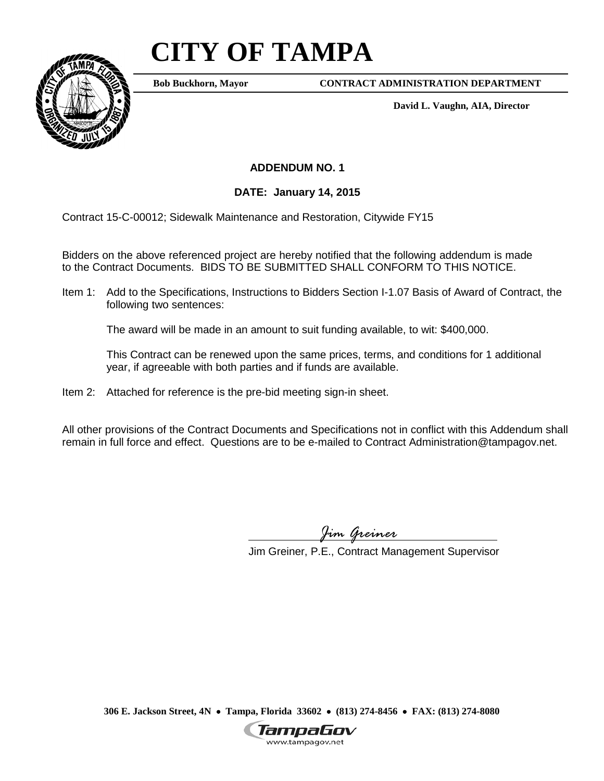## **CITY OF TAMPA**



**Bob Buckhorn, Mayor**

**CONTRACT ADMINISTRATION DEPARTMENT**

**David L. Vaughn, AIA, Director**

## **ADDENDUM NO. 1**

## **DATE: January 14, 2015**

Contract 15-C-00012; Sidewalk Maintenance and Restoration, Citywide FY15

Bidders on the above referenced project are hereby notified that the following addendum is made to the Contract Documents. BIDS TO BE SUBMITTED SHALL CONFORM TO THIS NOTICE.

Item 1: Add to the Specifications, Instructions to Bidders Section I-1.07 Basis of Award of Contract, the following two sentences:

The award will be made in an amount to suit funding available, to wit: \$400,000.

This Contract can be renewed upon the same prices, terms, and conditions for 1 additional year, if agreeable with both parties and if funds are available.

Item 2: Attached for reference is the pre-bid meeting sign-in sheet.

All other provisions of the Contract Documents and Specifications not in conflict with this Addendum shall remain in full force and effect. Questions are to be e-mailed to Contract Administration@tampagov.net.

*Jim Greiner*

Jim Greiner, P.E., Contract Management Supervisor

**306 E. Jackson Street, 4N** • **Tampa, Florida 33602** • **(813) 274-8456** • **FAX: (813) 274-8080**